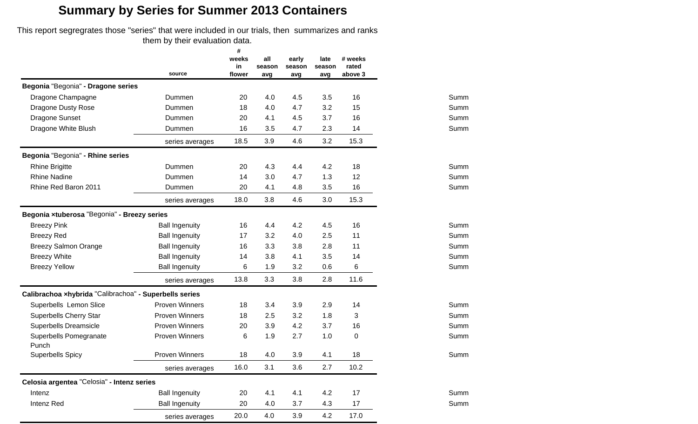This report segregrates those "series" that were included in our trials, then summarizes and ranks them by their evaluation data.

|                                                        |                       | #<br>weeks<br>in | all<br>season | early<br>season | late<br>season | # weeks<br>rated |      |
|--------------------------------------------------------|-----------------------|------------------|---------------|-----------------|----------------|------------------|------|
|                                                        | source                | flower           | avg           | avg             | avg            | above 3          |      |
| Begonia "Begonia" - Dragone series                     |                       |                  |               |                 |                |                  |      |
| Dragone Champagne                                      | Dummen                | 20               | 4.0           | 4.5             | 3.5            | 16               | Summ |
| <b>Dragone Dusty Rose</b>                              | Dummen                | 18               | 4.0           | 4.7             | 3.2            | 15               | Summ |
| Dragone Sunset                                         | Dummen                | 20               | 4.1           | 4.5             | 3.7            | 16               | Summ |
| Dragone White Blush                                    | Dummen                | 16               | 3.5           | 4.7             | 2.3            | 14               | Summ |
|                                                        | series averages       | 18.5             | 3.9           | 4.6             | 3.2            | 15.3             |      |
| Begonia "Begonia" - Rhine series                       |                       |                  |               |                 |                |                  |      |
| <b>Rhine Brigitte</b>                                  | Dummen                | 20               | 4.3           | 4.4             | 4.2            | 18               | Summ |
| <b>Rhine Nadine</b>                                    | Dummen                | 14               | 3.0           | 4.7             | 1.3            | 12               | Summ |
| Rhine Red Baron 2011                                   | Dummen                | 20               | 4.1           | 4.8             | 3.5            | 16               | Summ |
|                                                        | series averages       | 18.0             | 3.8           | 4.6             | 3.0            | 15.3             |      |
| Begonia xtuberosa "Begonia" - Breezy series            |                       |                  |               |                 |                |                  |      |
| <b>Breezy Pink</b>                                     | <b>Ball Ingenuity</b> | 16               | 4.4           | 4.2             | 4.5            | 16               | Summ |
| <b>Breezy Red</b>                                      | <b>Ball Ingenuity</b> | 17               | 3.2           | 4.0             | 2.5            | 11               | Summ |
| <b>Breezy Salmon Orange</b>                            | <b>Ball Ingenuity</b> | 16               | 3.3           | 3.8             | 2.8            | 11               | Summ |
| <b>Breezy White</b>                                    | <b>Ball Ingenuity</b> | 14               | 3.8           | 4.1             | 3.5            | 14               | Summ |
| <b>Breezy Yellow</b>                                   | <b>Ball Ingenuity</b> | 6                | 1.9           | 3.2             | 0.6            | 6                | Summ |
|                                                        | series averages       | 13.8             | 3.3           | 3.8             | 2.8            | 11.6             |      |
| Calibrachoa xhybrida "Calibrachoa" - Superbells series |                       |                  |               |                 |                |                  |      |
| Superbells Lemon Slice                                 | <b>Proven Winners</b> | 18               | 3.4           | 3.9             | 2.9            | 14               | Summ |
| <b>Superbells Cherry Star</b>                          | <b>Proven Winners</b> | 18               | 2.5           | 3.2             | 1.8            | 3                | Summ |
| Superbells Dreamsicle                                  | <b>Proven Winners</b> | 20               | 3.9           | 4.2             | 3.7            | 16               | Summ |
| Superbells Pomegranate<br>Punch                        | <b>Proven Winners</b> | 6                | 1.9           | 2.7             | 1.0            | 0                | Summ |
| <b>Superbells Spicy</b>                                | <b>Proven Winners</b> | 18               | 4.0           | 3.9             | 4.1            | 18               | Summ |
|                                                        | series averages       | 16.0             | 3.1           | 3.6             | 2.7            | 10.2             |      |
| Celosia argentea "Celosia" - Intenz series             |                       |                  |               |                 |                |                  |      |
| Intenz                                                 | <b>Ball Ingenuity</b> | 20               | 4.1           | 4.1             | 4.2            | 17               | Summ |
| Intenz Red                                             | <b>Ball Ingenuity</b> | 20               | 4.0           | 3.7             | 4.3            | 17               | Summ |
|                                                        | series averages       | 20.0             | 4.0           | 3.9             | 4.2            | 17.0             |      |

Summ

Summ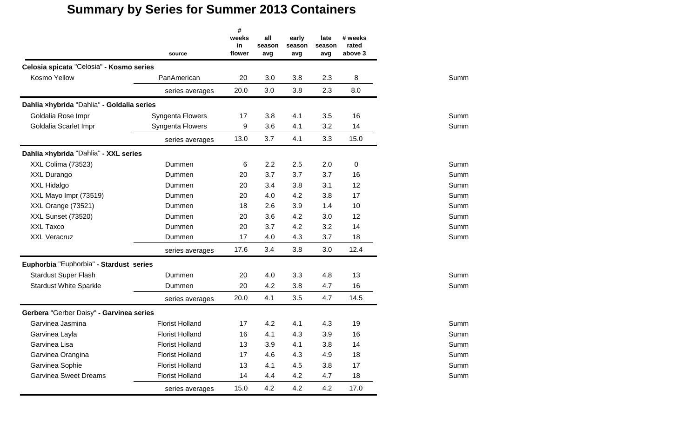|                                            | source                 | #<br>weeks<br>in<br>flower | all<br>season<br>avg | early<br>season<br>avg | late<br>season<br>avg | # weeks<br>rated<br>above 3 |      |
|--------------------------------------------|------------------------|----------------------------|----------------------|------------------------|-----------------------|-----------------------------|------|
| Celosia spicata "Celosia" - Kosmo series   |                        |                            |                      |                        |                       |                             |      |
| Kosmo Yellow                               | PanAmerican            | 20                         | 3.0                  | 3.8                    | 2.3                   | 8                           | Summ |
|                                            | series averages        | 20.0                       | 3.0                  | 3.8                    | 2.3                   | 8.0                         |      |
| Dahlia xhybrida "Dahlia" - Goldalia series |                        |                            |                      |                        |                       |                             |      |
| Goldalia Rose Impr                         | Syngenta Flowers       | 17                         | 3.8                  | 4.1                    | 3.5                   | 16                          | Summ |
| Goldalia Scarlet Impr                      | Syngenta Flowers       | 9                          | 3.6                  | 4.1                    | 3.2                   | 14                          | Summ |
|                                            | series averages        | 13.0                       | 3.7                  | 4.1                    | 3.3                   | 15.0                        |      |
| Dahlia xhybrida "Dahlia" - XXL series      |                        |                            |                      |                        |                       |                             |      |
| XXL Colima (73523)                         | Dummen                 | 6                          | 2.2                  | 2.5                    | 2.0                   | 0                           | Summ |
| XXL Durango                                | Dummen                 | 20                         | 3.7                  | 3.7                    | 3.7                   | 16                          | Summ |
| XXL Hidalgo                                | Dummen                 | 20                         | 3.4                  | 3.8                    | 3.1                   | 12                          | Summ |
| XXL Mayo Impr (73519)                      | Dummen                 | 20                         | 4.0                  | 4.2                    | 3.8                   | 17                          | Summ |
| XXL Orange (73521)                         | Dummen                 | 18                         | 2.6                  | 3.9                    | 1.4                   | 10                          | Summ |
| <b>XXL Sunset (73520)</b>                  | Dummen                 | 20                         | 3.6                  | 4.2                    | 3.0                   | 12                          | Summ |
| XXL Taxco                                  | Dummen                 | 20                         | 3.7                  | 4.2                    | 3.2                   | 14                          | Summ |
| <b>XXL Veracruz</b>                        | Dummen                 | 17                         | 4.0                  | 4.3                    | 3.7                   | 18                          | Summ |
|                                            | series averages        | 17.6                       | 3.4                  | 3.8                    | 3.0                   | 12.4                        |      |
| Euphorbia "Euphorbia" - Stardust series    |                        |                            |                      |                        |                       |                             |      |
| <b>Stardust Super Flash</b>                | Dummen                 | 20                         | 4.0                  | 3.3                    | 4.8                   | 13                          | Summ |
| <b>Stardust White Sparkle</b>              | Dummen                 | 20                         | 4.2                  | 3.8                    | 4.7                   | 16                          | Summ |
|                                            | series averages        | 20.0                       | 4.1                  | 3.5                    | 4.7                   | 14.5                        |      |
| Gerbera "Gerber Daisy" - Garvinea series   |                        |                            |                      |                        |                       |                             |      |
| Garvinea Jasmina                           | <b>Florist Holland</b> | 17                         | 4.2                  | 4.1                    | 4.3                   | 19                          | Summ |
| Garvinea Layla                             | <b>Florist Holland</b> | 16                         | 4.1                  | 4.3                    | 3.9                   | 16                          | Summ |
| Garvinea Lisa                              | <b>Florist Holland</b> | 13                         | 3.9                  | 4.1                    | 3.8                   | 14                          | Summ |
| Garvinea Orangina                          | <b>Florist Holland</b> | 17                         | 4.6                  | 4.3                    | 4.9                   | 18                          | Summ |
| Garvinea Sophie                            | <b>Florist Holland</b> | 13                         | 4.1                  | 4.5                    | 3.8                   | 17                          | Summ |
| <b>Garvinea Sweet Dreams</b>               | <b>Florist Holland</b> | 14                         | 4.4                  | 4.2                    | 4.7                   | 18                          | Summ |
|                                            | series averages        | 15.0                       | 4.2                  | 4.2                    | 4.2                   | 17.0                        |      |

Summ

Summ

Summ

Summ

Summ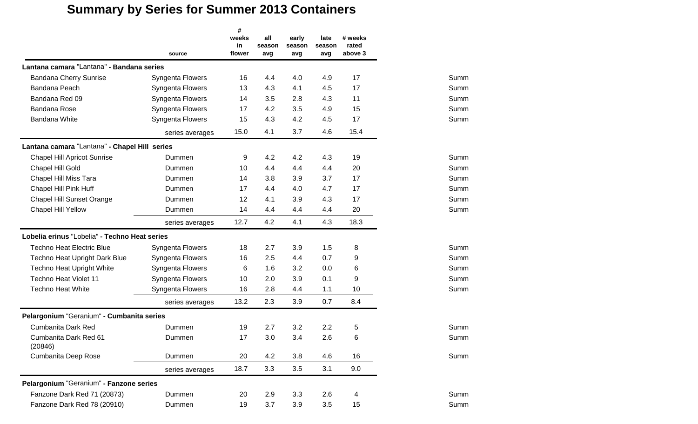|                                               | source           | #<br>weeks<br>in<br>flower | all<br>season<br>avg | early<br>season<br>avg | late<br>season<br>avg | # weeks<br>rated<br>above 3 |      |
|-----------------------------------------------|------------------|----------------------------|----------------------|------------------------|-----------------------|-----------------------------|------|
| Lantana camara "Lantana" - Bandana series     |                  |                            |                      |                        |                       |                             |      |
| <b>Bandana Cherry Sunrise</b>                 | Syngenta Flowers | 16                         | 4.4                  | 4.0                    | 4.9                   | 17                          | Summ |
| Bandana Peach                                 | Syngenta Flowers | 13                         | 4.3                  | 4.1                    | 4.5                   | 17                          | Summ |
| Bandana Red 09                                | Syngenta Flowers | 14                         | 3.5                  | 2.8                    | 4.3                   | 11                          | Summ |
| Bandana Rose                                  | Syngenta Flowers | 17                         | 4.2                  | 3.5                    | 4.9                   | 15                          | Summ |
| Bandana White                                 | Syngenta Flowers | 15                         | 4.3                  | 4.2                    | 4.5                   | 17                          | Summ |
|                                               | series averages  | 15.0                       | 4.1                  | 3.7                    | 4.6                   | 15.4                        |      |
| Lantana camara "Lantana" - Chapel Hill series |                  |                            |                      |                        |                       |                             |      |
| <b>Chapel Hill Apricot Sunrise</b>            | Dummen           | 9                          | 4.2                  | 4.2                    | 4.3                   | 19                          | Summ |
| Chapel Hill Gold                              | Dummen           | 10                         | 4.4                  | 4.4                    | 4.4                   | 20                          | Summ |
| Chapel Hill Miss Tara                         | Dummen           | 14                         | 3.8                  | 3.9                    | 3.7                   | 17                          | Summ |
| Chapel Hill Pink Huff                         | Dummen           | 17                         | 4.4                  | 4.0                    | 4.7                   | 17                          | Summ |
| <b>Chapel Hill Sunset Orange</b>              | Dummen           | 12                         | 4.1                  | 3.9                    | 4.3                   | 17                          | Summ |
| Chapel Hill Yellow                            | Dummen           | 14                         | 4.4                  | 4.4                    | 4.4                   | 20                          | Summ |
|                                               | series averages  | 12.7                       | 4.2                  | 4.1                    | 4.3                   | 18.3                        |      |
| Lobelia erinus "Lobelia" - Techno Heat series |                  |                            |                      |                        |                       |                             |      |
| <b>Techno Heat Electric Blue</b>              | Syngenta Flowers | 18                         | 2.7                  | 3.9                    | 1.5                   | 8                           | Summ |
| <b>Techno Heat Upright Dark Blue</b>          | Syngenta Flowers | 16                         | 2.5                  | 4.4                    | 0.7                   | 9                           | Summ |
| <b>Techno Heat Upright White</b>              | Syngenta Flowers | 6                          | 1.6                  | 3.2                    | 0.0                   | 6                           | Summ |
| <b>Techno Heat Violet 11</b>                  | Syngenta Flowers | 10                         | 2.0                  | 3.9                    | 0.1                   | 9                           | Summ |
| <b>Techno Heat White</b>                      | Syngenta Flowers | 16                         | 2.8                  | 4.4                    | 1.1                   | 10                          | Summ |
|                                               | series averages  | 13.2                       | 2.3                  | 3.9                    | 0.7                   | 8.4                         |      |
| Pelargonium "Geranium" - Cumbanita series     |                  |                            |                      |                        |                       |                             |      |
| <b>Cumbanita Dark Red</b>                     | Dummen           | 19                         | 2.7                  | 3.2                    | 2.2                   | 5                           | Summ |
| Cumbanita Dark Red 61<br>(20846)              | Dummen           | 17                         | 3.0                  | 3.4                    | 2.6                   | 6                           | Summ |
| Cumbanita Deep Rose                           | Dummen           | 20                         | 4.2                  | 3.8                    | 4.6                   | 16                          | Summ |
|                                               | series averages  | 18.7                       | 3.3                  | 3.5                    | 3.1                   | 9.0                         |      |
| Pelargonium "Geranium" - Fanzone series       |                  |                            |                      |                        |                       |                             |      |
| Fanzone Dark Red 71 (20873)                   | Dummen           | 20                         | 2.9                  | 3.3                    | 2.6                   | 4                           | Summ |
| Fanzone Dark Red 78 (20910)                   | Dummen           | 19                         | 3.7                  | 3.9                    | 3.5                   | 15                          | Summ |

Summ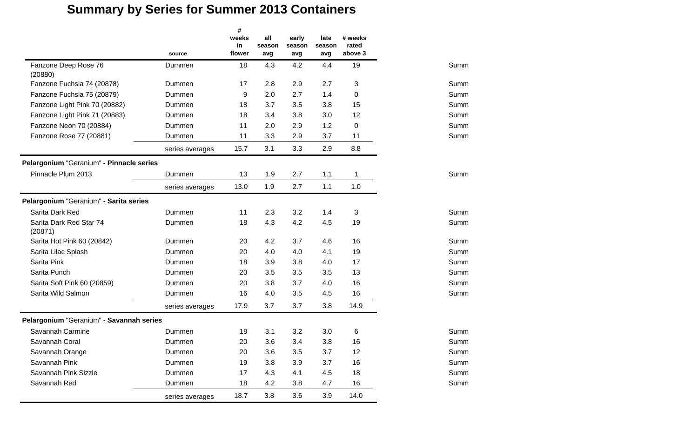|                                          | source          | #<br>weeks<br>in<br>flower | all<br>season<br>avg | early<br>season<br>avg | late<br>season<br>avg | # weeks<br>rated<br>above 3 |      |
|------------------------------------------|-----------------|----------------------------|----------------------|------------------------|-----------------------|-----------------------------|------|
| Fanzone Deep Rose 76<br>(20880)          | Dummen          | 18                         | 4.3                  | 4.2                    | 4.4                   | 19                          | Summ |
| Fanzone Fuchsia 74 (20878)               | Dummen          | 17                         | 2.8                  | 2.9                    | 2.7                   | 3                           | Summ |
| Fanzone Fuchsia 75 (20879)               | Dummen          | 9                          | 2.0                  | 2.7                    | 1.4                   | 0                           | Summ |
| Fanzone Light Pink 70 (20882)            | Dummen          | 18                         | 3.7                  | 3.5                    | 3.8                   | 15                          | Summ |
| Fanzone Light Pink 71 (20883)            | Dummen          | 18                         | 3.4                  | 3.8                    | 3.0                   | 12                          | Summ |
| Fanzone Neon 70 (20884)                  | Dummen          | 11                         | 2.0                  | 2.9                    | 1.2                   | 0                           | Summ |
| Fanzone Rose 77 (20881)                  | Dummen          | 11                         | 3.3                  | 2.9                    | 3.7                   | 11                          | Summ |
|                                          | series averages | 15.7                       | 3.1                  | 3.3                    | 2.9                   | 8.8                         |      |
| Pelargonium "Geranium" - Pinnacle series |                 |                            |                      |                        |                       |                             |      |
| Pinnacle Plum 2013                       | Dummen          | 13                         | 1.9                  | 2.7                    | 1.1                   | 1                           | Summ |
|                                          | series averages | 13.0                       | 1.9                  | 2.7                    | 1.1                   | 1.0                         |      |
| Pelargonium "Geranium" - Sarita series   |                 |                            |                      |                        |                       |                             |      |
| Sarita Dark Red                          | Dummen          | 11                         | 2.3                  | 3.2                    | 1.4                   | 3                           | Summ |
| Sarita Dark Red Star 74<br>(20871)       | Dummen          | 18                         | 4.3                  | 4.2                    | 4.5                   | 19                          | Summ |
| Sarita Hot Pink 60 (20842)               | Dummen          | 20                         | 4.2                  | 3.7                    | 4.6                   | 16                          | Summ |
| Sarita Lilac Splash                      | Dummen          | 20                         | 4.0                  | 4.0                    | 4.1                   | 19                          | Summ |
| Sarita Pink                              | Dummen          | 18                         | 3.9                  | 3.8                    | 4.0                   | 17                          | Summ |
| Sarita Punch                             | Dummen          | 20                         | 3.5                  | 3.5                    | 3.5                   | 13                          | Summ |
| Sarita Soft Pink 60 (20859)              | Dummen          | 20                         | 3.8                  | 3.7                    | 4.0                   | 16                          | Summ |
| Sarita Wild Salmon                       | Dummen          | 16                         | 4.0                  | 3.5                    | 4.5                   | 16                          | Summ |
|                                          | series averages | 17.9                       | 3.7                  | 3.7                    | 3.8                   | 14.9                        |      |
| Pelargonium "Geranium" - Savannah series |                 |                            |                      |                        |                       |                             |      |
| Savannah Carmine                         | Dummen          | 18                         | 3.1                  | 3.2                    | 3.0                   | 6                           | Summ |
| Savannah Coral                           | Dummen          | 20                         | 3.6                  | 3.4                    | 3.8                   | 16                          | Summ |
| Savannah Orange                          | Dummen          | 20                         | 3.6                  | 3.5                    | 3.7                   | 12                          | Summ |
| Savannah Pink                            | Dummen          | 19                         | 3.8                  | 3.9                    | 3.7                   | 16                          | Summ |
| Savannah Pink Sizzle                     | Dummen          | 17                         | 4.3                  | 4.1                    | 4.5                   | 18                          | Summ |
| Savannah Red                             | Dummen          | 18                         | 4.2                  | 3.8                    | 4.7                   | 16                          | Summ |
|                                          | series averages | 18.7                       | 3.8                  | 3.6                    | 3.9                   | 14.0                        |      |

| Summ |
|------|
| Summ |
| Summ |
| Summ |
| Summ |
| Summ |
|      |
|      |
|      |
| Summ |

| Summ |
|------|
| Summ |
| Summ |
| Summ |
| Summ |
| Summ |
| Summ |
| Summ |

| Summ |  |
|------|--|
| Summ |  |
| Summ |  |
| Summ |  |
| Summ |  |
| Summ |  |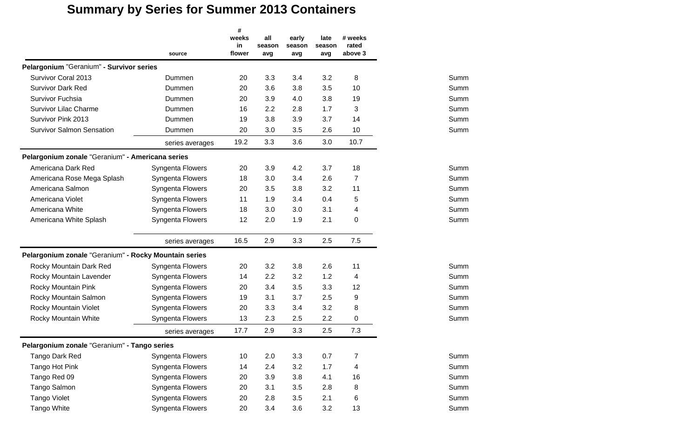|                                                       | source                  | #<br>weeks<br>in<br>flower | all<br>season<br>avg | early<br>season<br>avg | late<br>season<br>avg | # weeks<br>rated<br>above 3 |      |
|-------------------------------------------------------|-------------------------|----------------------------|----------------------|------------------------|-----------------------|-----------------------------|------|
| Pelargonium "Geranium" - Survivor series              |                         |                            |                      |                        |                       |                             |      |
| Survivor Coral 2013                                   | Dummen                  | 20                         | 3.3                  | 3.4                    | 3.2                   | 8                           | Summ |
| <b>Survivor Dark Red</b>                              | Dummen                  | 20                         | 3.6                  | 3.8                    | 3.5                   | 10                          | Summ |
| Survivor Fuchsia                                      | Dummen                  | 20                         | 3.9                  | 4.0                    | 3.8                   | 19                          | Summ |
| <b>Survivor Lilac Charme</b>                          | Dummen                  | 16                         | 2.2                  | 2.8                    | 1.7                   | 3                           | Summ |
| Survivor Pink 2013                                    | Dummen                  | 19                         | 3.8                  | 3.9                    | 3.7                   | 14                          | Summ |
| <b>Survivor Salmon Sensation</b>                      | Dummen                  | 20                         | 3.0                  | 3.5                    | 2.6                   | 10                          | Summ |
|                                                       | series averages         | 19.2                       | 3.3                  | 3.6                    | 3.0                   | 10.7                        |      |
| Pelargonium zonale "Geranium" - Americana series      |                         |                            |                      |                        |                       |                             |      |
| Americana Dark Red                                    | <b>Syngenta Flowers</b> | 20                         | 3.9                  | 4.2                    | 3.7                   | 18                          | Summ |
| Americana Rose Mega Splash                            | Syngenta Flowers        | 18                         | 3.0                  | 3.4                    | 2.6                   | $\overline{7}$              | Summ |
| Americana Salmon                                      | Syngenta Flowers        | 20                         | 3.5                  | 3.8                    | 3.2                   | 11                          | Summ |
| Americana Violet                                      | Syngenta Flowers        | 11                         | 1.9                  | 3.4                    | 0.4                   | 5                           | Summ |
| Americana White                                       | Syngenta Flowers        | 18                         | 3.0                  | 3.0                    | 3.1                   | 4                           | Summ |
| Americana White Splash                                | Syngenta Flowers        | 12                         | 2.0                  | 1.9                    | 2.1                   | 0                           | Summ |
|                                                       | series averages         | 16.5                       | 2.9                  | 3.3                    | 2.5                   | 7.5                         |      |
| Pelargonium zonale "Geranium" - Rocky Mountain series |                         |                            |                      |                        |                       |                             |      |
| Rocky Mountain Dark Red                               | Syngenta Flowers        | 20                         | 3.2                  | 3.8                    | 2.6                   | 11                          | Summ |
| Rocky Mountain Lavender                               | Syngenta Flowers        | 14                         | 2.2                  | 3.2                    | 1.2                   | 4                           | Summ |
| Rocky Mountain Pink                                   | Syngenta Flowers        | 20                         | 3.4                  | 3.5                    | 3.3                   | 12                          | Summ |
| Rocky Mountain Salmon                                 | Syngenta Flowers        | 19                         | 3.1                  | 3.7                    | 2.5                   | 9                           | Summ |
| Rocky Mountain Violet                                 | Syngenta Flowers        | 20                         | 3.3                  | 3.4                    | 3.2                   | 8                           | Summ |
| Rocky Mountain White                                  | Syngenta Flowers        | 13                         | 2.3                  | 2.5                    | 2.2                   | 0                           | Summ |
|                                                       | series averages         | 17.7                       | 2.9                  | 3.3                    | 2.5                   | 7.3                         |      |
| Pelargonium zonale "Geranium" - Tango series          |                         |                            |                      |                        |                       |                             |      |
| Tango Dark Red                                        | Syngenta Flowers        | 10                         | 2.0                  | 3.3                    | 0.7                   | 7                           | Summ |
| Tango Hot Pink                                        | Syngenta Flowers        | 14                         | 2.4                  | 3.2                    | 1.7                   | 4                           | Summ |
| Tango Red 09                                          | Syngenta Flowers        | 20                         | 3.9                  | 3.8                    | 4.1                   | 16                          | Summ |
| Tango Salmon                                          | Syngenta Flowers        | 20                         | 3.1                  | 3.5                    | 2.8                   | 8                           | Summ |
| <b>Tango Violet</b>                                   | Syngenta Flowers        | 20                         | 2.8                  | 3.5                    | 2.1                   | 6                           | Summ |
| <b>Tango White</b>                                    | Syngenta Flowers        | 20                         | 3.4                  | 3.6                    | 3.2                   | 13                          | Summ |

| Summ |
|------|
| Summ |
| Summ |
| Summ |
| Summ |
|      |
|      |
|      |
| Summ |
| Summ |
| Summ |

| Summ |
|------|
| Summ |
| Summ |
| Summ |
| Summ |
| Summ |
|      |